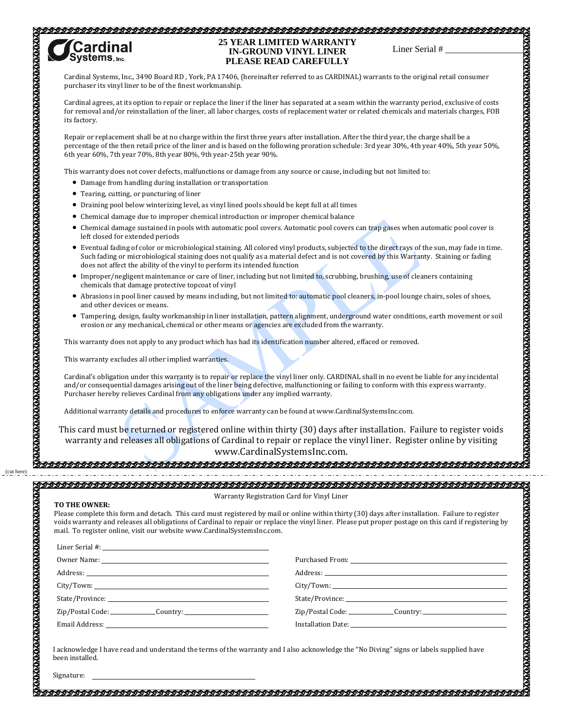## 



## **25 YEAR LIMITED WARRANTY IN-GROUND VINYL LINER PLEASE READ CAREFULLY**

Cardinal Systems, Inc., 3490 Board RD , York, PA 17406, (hereinafter referred to as CARDINAL) warrants to the original retail consumer purchaser its vinyl liner to be of the finest workmanship.

Cardinal agrees, at its option to repair or replace the liner if the liner has separated at a seam within the warranty period, exclusive of costs for removal and/or reinstallation of the liner, all labor charges, costs of replacement water or related chemicals and materials charges, FOB its factory.

Repair or replacement shall be at no charge within the first three years after installation. After the third year, the charge shall be a percentage of the then retail price of the liner and is based on the following proration schedule: 3rd year 30%, 4th year 40%, 5th year 50%, 6th year 60%, 7th year 70%, 8th year 80%, 9th year-25th year 90%.

This warranty does not cover defects, malfunctions or damage from any source or cause, including but not limited to:

- Damage from handling during installation or transportation
- Tearing, cutting, or puncturing of liner
- Draining pool below winterizing level, as vinyl lined pools should be kept full at all times
- Chemical damage due to improper chemical introduction or improper chemical balance
- Chemical damage sustained in pools with automatic pool covers. Automatic pool covers can trap gases when automatic pool cover is left closed for extended periods
- Eventual fading of color or microbiological staining. All colored vinyl products, subjected to the direct rays of the sun, may fade in time. Such fading or microbiological staining does not qualify as a material defect and is not covered by this Warranty. Staining or fading does not affect the ability of the vinyl to perform its intended function
- Improper/negligent maintenance or care of liner, including but not limited to, scrubbing, brushing, use of cleaners containing chemicals that damage protective topcoat of vinyl
- Abrasions in pool liner caused by means including, but not limited to: automatic pool cleaners, in-pool lounge chairs, soles of shoes, and other devices or means.
- Tampering, design, faulty workmanship in liner installation, pattern alignment, underground water conditions, earth movement or soil erosion or any mechanical, chemical or other means or agencies are excluded from the warranty.

This warranty does not apply to any product which has had its identification number altered, effaced or removed.

This warranty excludes all other implied warranties.

Cardinal's obligation under this warranty is to repair or replace the vinyl liner only. CARDINAL shall in no event be liable for any incidental and/or consequential damages arising out of the liner being defective, malfunctioning or failing to conform with this express warranty. Purchaser hereby relieves Cardinal from any obligations under any implied warranty.

Additional warranty details and procedures to enforce warranty can be found at www.CardinalSystemsInc.com.

This card must be returned or registered online within thirty (30) days after installation. Failure to register voids warranty and releases all obligations of Cardinal to repair or replace the vinyl liner. Register online by visiting www.CardinalSystemsInc.com. Liner Serial # \_\_\_\_\_\_\_\_\_\_\_\_\_\_\_\_\_

## **TO THE OWNER:**

(cut here)

Warranty Registration Card for Vinyl Liner

Please complete this form and detach. This card must registered by mail or online within thirty (30) days after installation. Failure to register voids warranty and releases all obligations of Cardinal to repair or replace the vinyl liner. Please put proper postage on this card if registering by mail. To register online, visit our website www.CardinalSystemsInc.com.

|                           | City/ Town: |
|---------------------------|-------------|
|                           |             |
| Zip/Postal Code: Country: |             |
|                           |             |

I acknowledge I have read and understand the terms of the warranty and I also acknowledge the "No Diving" signs or labels supplied have been installed.

Signature: